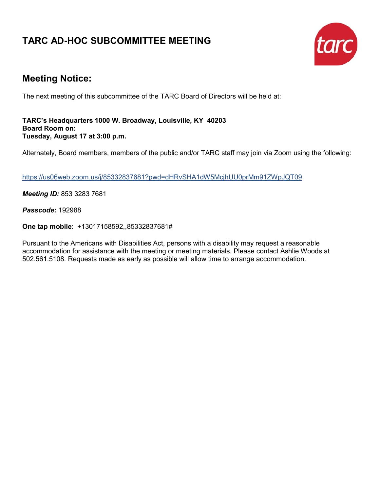## **TARC AD-HOC SUBCOMMITTEE MEETING**



## **Meeting Notice:**

The next meeting of this subcommittee of the TARC Board of Directors will be held at:

**TARC's Headquarters 1000 W. Broadway, Louisville, KY 40203 Board Room on: Tuesday, August 17 at 3:00 p.m.**

Alternately, Board members, members of the public and/or TARC staff may join via Zoom using the following:

<https://us06web.zoom.us/j/85332837681?pwd=dHRvSHA1dW5McjhUU0prMm91ZWpJQT09>

*Meeting ID:* 853 3283 7681

*Passcode:* 192988

**One tap mobile**: +13017158592,,85332837681#

Pursuant to the Americans with Disabilities Act, persons with a disability may request a reasonable accommodation for assistance with the meeting or meeting materials. Please contact Ashlie Woods at 502.561.5108. Requests made as early as possible will allow time to arrange accommodation.